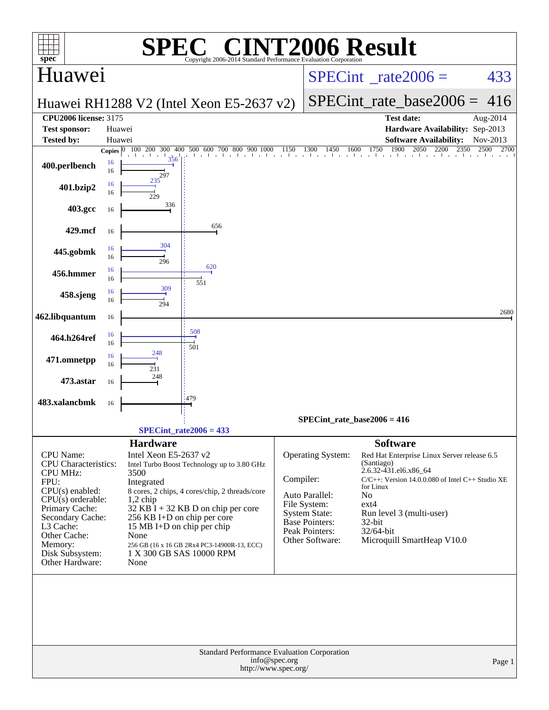|                                                 |          | $\bigcap$ $\mathbb{R}$ $\bigcap$                                                                                                |               |                                 | <b>INT2006 Result</b>                                                     |                  |
|-------------------------------------------------|----------|---------------------------------------------------------------------------------------------------------------------------------|---------------|---------------------------------|---------------------------------------------------------------------------|------------------|
| spec <sup>®</sup><br>Huawei                     |          | Copyright 2006-2014 Standard Performance Evaluation Cornoration                                                                 |               | $SPECint^{\circ}$ rate $2006 =$ | 433                                                                       |                  |
|                                                 |          | Huawei RH1288 V2 (Intel Xeon E5-2637 v2)                                                                                        |               |                                 | $SPECint_rate_base2006 =$                                                 | 416              |
| <b>CPU2006 license: 3175</b>                    |          |                                                                                                                                 |               |                                 | <b>Test date:</b>                                                         | Aug-2014         |
| <b>Test sponsor:</b>                            |          | Huawei                                                                                                                          |               |                                 | Hardware Availability: Sep-2013                                           |                  |
| <b>Tested by:</b>                               |          | Huawei                                                                                                                          |               |                                 | <b>Software Availability:</b><br>2050<br>2200                             | Nov-2013<br>2500 |
| 400.perlbench                                   | 16<br>16 | <b>Copies</b> $\begin{bmatrix} 0 & 100 & 200 & 300 & 400 & 500 & 600 & 700 & 800 & 900 & 1000 \end{bmatrix}$ 1150<br>356<br>297 |               |                                 | $1300$ $1450$ $1600$ $1750$ $1900$ $205$<br>2350                          | 2700             |
| 401.bzip2                                       | 16<br>16 | 235<br>229                                                                                                                      |               |                                 |                                                                           |                  |
| 403.gcc                                         | 16       | 336                                                                                                                             |               |                                 |                                                                           |                  |
| 429.mcf                                         | 16       | 656<br>304                                                                                                                      |               |                                 |                                                                           |                  |
| 445.gobmk                                       | 16<br>16 | 296<br>620                                                                                                                      |               |                                 |                                                                           |                  |
| 456.hmmer                                       | 16<br>16 | 551<br>309                                                                                                                      |               |                                 |                                                                           |                  |
| 458.sjeng                                       | 16<br>16 | 294                                                                                                                             |               |                                 |                                                                           | 2680             |
| 462.libquantum<br>464.h264ref                   | 16<br>16 | 508                                                                                                                             |               |                                 |                                                                           |                  |
| 471.omnetpp                                     | 16<br>16 | 501<br>248                                                                                                                      |               |                                 |                                                                           |                  |
| 473.astar                                       | 16<br>16 | 231<br>248                                                                                                                      |               |                                 |                                                                           |                  |
| 483.xalancbmk                                   | 16       | 479                                                                                                                             |               |                                 |                                                                           |                  |
|                                                 |          |                                                                                                                                 |               |                                 | SPECint rate base2006 = $416$                                             |                  |
|                                                 |          | $SPECint_rate2006 = 433$                                                                                                        |               |                                 |                                                                           |                  |
|                                                 |          | <b>Hardware</b>                                                                                                                 |               |                                 | <b>Software</b>                                                           |                  |
| <b>CPU</b> Name:<br><b>CPU</b> Characteristics: |          | Intel Xeon E5-2637 v2<br>Intel Turbo Boost Technology up to 3.80 GHz                                                            |               | Operating System:               | Red Hat Enterprise Linux Server release 6.5<br>(Santiago)                 |                  |
| <b>CPU MHz:</b><br>FPU:                         |          | 3500<br>Integrated                                                                                                              | Compiler:     |                                 | 2.6.32-431.el6.x86_64<br>C/C++: Version 14.0.0.080 of Intel C++ Studio XE |                  |
| $CPU(s)$ enabled:                               |          | 8 cores, 2 chips, 4 cores/chip, 2 threads/core                                                                                  |               | Auto Parallel:                  | for Linux<br>No                                                           |                  |
| $CPU(s)$ orderable:<br>Primary Cache:           |          | $1,2$ chip<br>$32$ KB I + 32 KB D on chip per core                                                                              |               | File System:                    | $ext{4}$                                                                  |                  |
| Secondary Cache:                                |          | 256 KB I+D on chip per core                                                                                                     |               | System State:<br>Base Pointers: | Run level 3 (multi-user)<br>32-bit                                        |                  |
| L3 Cache:<br>Other Cache:                       |          | 15 MB I+D on chip per chip<br>None                                                                                              |               | Peak Pointers:                  | 32/64-bit                                                                 |                  |
| Memory:                                         |          | 256 GB (16 x 16 GB 2Rx4 PC3-14900R-13, ECC)                                                                                     |               | Other Software:                 | Microquill SmartHeap V10.0                                                |                  |
| Disk Subsystem:<br>Other Hardware:              |          | 1 X 300 GB SAS 10000 RPM<br>None                                                                                                |               |                                 |                                                                           |                  |
|                                                 |          | Standard Performance Evaluation Corporation                                                                                     |               |                                 |                                                                           |                  |
|                                                 |          | http://www.spec.org/                                                                                                            | info@spec.org |                                 |                                                                           | Page 1           |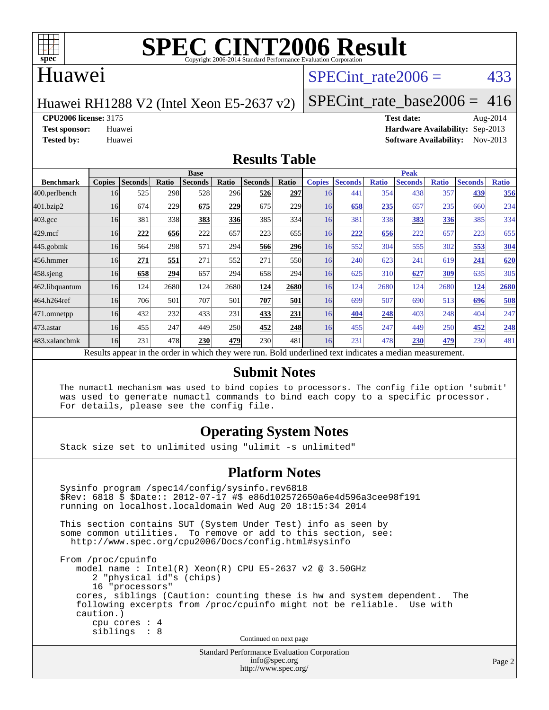

# **[SPEC CINT2006 Result](http://www.spec.org/auto/cpu2006/Docs/result-fields.html#SPECCINT2006Result)**

## Huawei

# SPECint rate $2006 = 433$

Huawei RH1288 V2 (Intel Xeon E5-2637 v2)

[SPECint\\_rate\\_base2006 =](http://www.spec.org/auto/cpu2006/Docs/result-fields.html#SPECintratebase2006) 416

**[CPU2006 license:](http://www.spec.org/auto/cpu2006/Docs/result-fields.html#CPU2006license)** 3175 **[Test date:](http://www.spec.org/auto/cpu2006/Docs/result-fields.html#Testdate)** Aug-2014

**[Test sponsor:](http://www.spec.org/auto/cpu2006/Docs/result-fields.html#Testsponsor)** Huawei **[Hardware Availability:](http://www.spec.org/auto/cpu2006/Docs/result-fields.html#HardwareAvailability)** Sep-2013 **[Tested by:](http://www.spec.org/auto/cpu2006/Docs/result-fields.html#Testedby)** Huawei **[Software Availability:](http://www.spec.org/auto/cpu2006/Docs/result-fields.html#SoftwareAvailability)** Nov-2013

Page 2

### **[Results Table](http://www.spec.org/auto/cpu2006/Docs/result-fields.html#ResultsTable)**

|                                                                                                          | <b>Base</b>   |                |       |                |       |                |                  | <b>Peak</b>   |                |              |                |              |                |              |
|----------------------------------------------------------------------------------------------------------|---------------|----------------|-------|----------------|-------|----------------|------------------|---------------|----------------|--------------|----------------|--------------|----------------|--------------|
| <b>Benchmark</b>                                                                                         | <b>Copies</b> | <b>Seconds</b> | Ratio | <b>Seconds</b> | Ratio | <b>Seconds</b> | Ratio            | <b>Copies</b> | <b>Seconds</b> | <b>Ratio</b> | <b>Seconds</b> | <b>Ratio</b> | <b>Seconds</b> | <b>Ratio</b> |
| 400.perlbench                                                                                            | 16            | 525            | 298   | 528            | 296   | 526            | <b>297</b>       | 16            | 441            | 354          | 438            | 357          | 439            | 356          |
| 401.bzip2                                                                                                | 16            | 674            | 229   | 675            | 229   | 675            | 229              | 16            | 658            | 235          | 657            | 235          | 660            | 234          |
| $403.\mathrm{gcc}$                                                                                       | 16            | 381            | 338   | 383            | 336   | 385            | 334              | 16            | 381            | 338          | 383            | <u>336</u>   | 385            | 334          |
| $429$ .mcf                                                                                               | 16            | 222            | 656   | 222            | 657   | 223            | 655              | 16            | 222            | 656          | 222            | 657          | 223            | 655          |
| $445$ .gobmk                                                                                             | 16            | 564            | 298   | 571            | 294   | 566            | 296              | 16            | 552            | 304          | 555            | 302          | 553            | 304          |
| 456.hmmer                                                                                                | 16            | 271            | 551   | 271            | 552   | 271            | 550 <sub>l</sub> | 16            | 240            | 623          | 241            | 619          | 241            | 620          |
| $458$ .sjeng                                                                                             | 16            | 658            | 294   | 657            | 294   | 658            | 294              | 16            | 625            | 310          | 627            | 309          | 635            | 305          |
| 462.libquantum                                                                                           | 16            | 124            | 2680  | 124            | 2680  | 124            | 2680             | 16            | 124            | 2680         | 124            | 2680         | 124            | 2680         |
| 464.h264ref                                                                                              | 16            | 706            | 501   | 707            | 501   | 707            | 501              | 16            | 699            | 507          | 690            | 513          | 696            | 508          |
| 471.omnetpp                                                                                              | 16            | 432            | 232   | 433            | 231   | 433            | 231              | 16            | 404            | 248          | 403            | 248          | 404            | 247          |
| $473$ . astar                                                                                            | 16            | 455            | 247   | 449            | 250   | 452            | 248              | 16            | 455            | 247          | 449            | 250          | 452            | 248          |
| 483.xalancbmk                                                                                            | 16            | 231            | 478   | 230            | 479   | 230            | 481              | 16            | 231            | 478          | 230            | 479          | 230            | 481          |
| Results appear in the order in which they were run. Bold underlined text indicates a median measurement. |               |                |       |                |       |                |                  |               |                |              |                |              |                |              |

### **[Submit Notes](http://www.spec.org/auto/cpu2006/Docs/result-fields.html#SubmitNotes)**

 The numactl mechanism was used to bind copies to processors. The config file option 'submit' was used to generate numactl commands to bind each copy to a specific processor. For details, please see the config file.

## **[Operating System Notes](http://www.spec.org/auto/cpu2006/Docs/result-fields.html#OperatingSystemNotes)**

Stack size set to unlimited using "ulimit -s unlimited"

#### **[Platform Notes](http://www.spec.org/auto/cpu2006/Docs/result-fields.html#PlatformNotes)**

```
Standard Performance Evaluation Corporation
 Sysinfo program /spec14/config/sysinfo.rev6818
 $Rev: 6818 $ $Date:: 2012-07-17 #$ e86d102572650a6e4d596a3cee98f191
 running on localhost.localdomain Wed Aug 20 18:15:34 2014
 This section contains SUT (System Under Test) info as seen by
some common utilities. To remove or add to this section, see:
  http://www.spec.org/cpu2006/Docs/config.html#sysinfo
 From /proc/cpuinfo
    model name : Intel(R) Xeon(R) CPU E5-2637 v2 @ 3.50GHz
       2 "physical id"s (chips)
       16 "processors"
    cores, siblings (Caution: counting these is hw and system dependent. The
    following excerpts from /proc/cpuinfo might not be reliable. Use with
    caution.)
       cpu cores : 4
       siblings : 8
                                   Continued on next page
```
[info@spec.org](mailto:info@spec.org) <http://www.spec.org/>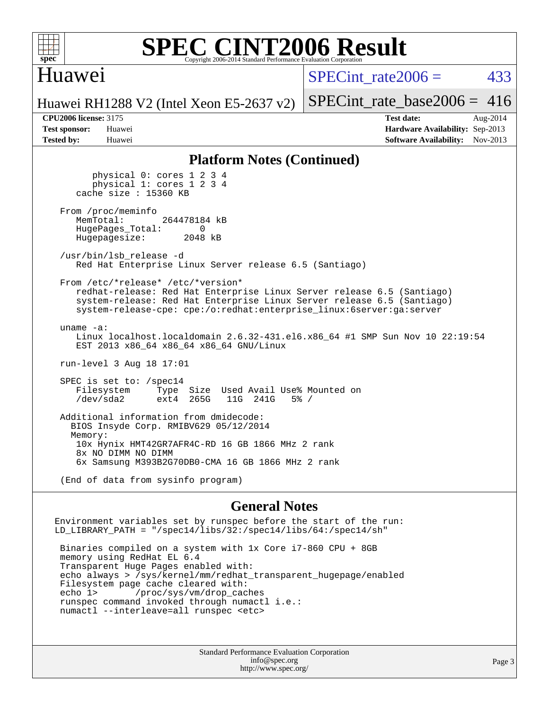

## **[SPEC CINT2006 Result](http://www.spec.org/auto/cpu2006/Docs/result-fields.html#SPECCINT2006Result)** Copyright 2006-2014 Standard Performance Evaluation C

## Huawei

SPECint rate $2006 = 433$ 

Huawei RH1288 V2 (Intel Xeon E5-2637 v2)

[SPECint\\_rate\\_base2006 =](http://www.spec.org/auto/cpu2006/Docs/result-fields.html#SPECintratebase2006)  $416$ 

**[CPU2006 license:](http://www.spec.org/auto/cpu2006/Docs/result-fields.html#CPU2006license)** 3175 **[Test date:](http://www.spec.org/auto/cpu2006/Docs/result-fields.html#Testdate)** Aug-2014 **[Test sponsor:](http://www.spec.org/auto/cpu2006/Docs/result-fields.html#Testsponsor)** Huawei **[Hardware Availability:](http://www.spec.org/auto/cpu2006/Docs/result-fields.html#HardwareAvailability)** Sep-2013 **[Tested by:](http://www.spec.org/auto/cpu2006/Docs/result-fields.html#Testedby)** Huawei **[Software Availability:](http://www.spec.org/auto/cpu2006/Docs/result-fields.html#SoftwareAvailability)** Nov-2013

### **[Platform Notes \(Continued\)](http://www.spec.org/auto/cpu2006/Docs/result-fields.html#PlatformNotes)**

 physical 0: cores 1 2 3 4 physical 1: cores 1 2 3 4 cache size : 15360 KB From /proc/meminfo<br>MemTotal: 264478184 kB HugePages\_Total: 0<br>Hugepagesize: 2048 kB Hugepagesize: /usr/bin/lsb\_release -d Red Hat Enterprise Linux Server release 6.5 (Santiago) From /etc/\*release\* /etc/\*version\* redhat-release: Red Hat Enterprise Linux Server release 6.5 (Santiago) system-release: Red Hat Enterprise Linux Server release 6.5 (Santiago) system-release-cpe: cpe:/o:redhat:enterprise\_linux:6server:ga:server uname -a: Linux localhost.localdomain 2.6.32-431.el6.x86\_64 #1 SMP Sun Nov 10 22:19:54 EST 2013 x86\_64 x86\_64 x86\_64 GNU/Linux run-level 3 Aug 18 17:01 SPEC is set to: /spec14 Filesystem Type Size Used Avail Use% Mounted on<br>
/dev/sda2 ext4 265G 11G 241G 5% / ext4 265G Additional information from dmidecode: BIOS Insyde Corp. RMIBV629 05/12/2014 Memory: 10x Hynix HMT42GR7AFR4C-RD 16 GB 1866 MHz 2 rank 8x NO DIMM NO DIMM 6x Samsung M393B2G70DB0-CMA 16 GB 1866 MHz 2 rank (End of data from sysinfo program)

### **[General Notes](http://www.spec.org/auto/cpu2006/Docs/result-fields.html#GeneralNotes)**

Environment variables set by runspec before the start of the run: LD\_LIBRARY\_PATH = "/spec14/libs/32:/spec14/libs/64:/spec14/sh"

 Binaries compiled on a system with 1x Core i7-860 CPU + 8GB memory using RedHat EL 6.4 Transparent Huge Pages enabled with: echo always > /sys/kernel/mm/redhat\_transparent\_hugepage/enabled Filesystem page cache cleared with: echo 1> /proc/sys/vm/drop\_caches runspec command invoked through numactl i.e.: numactl --interleave=all runspec <etc>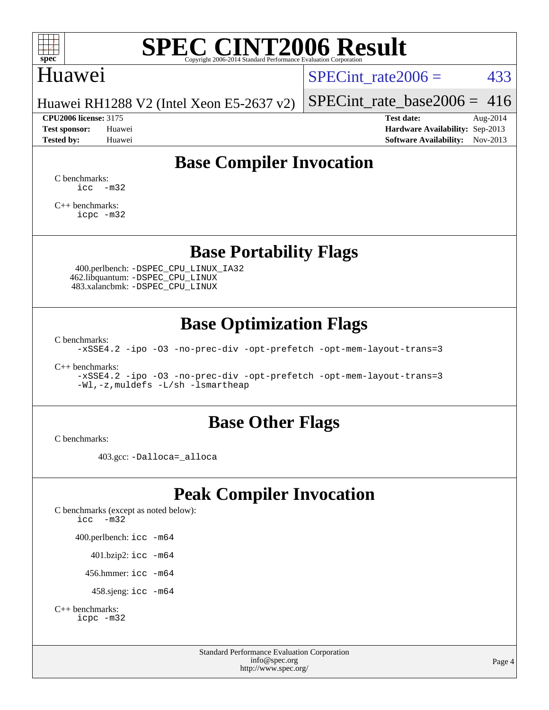

# **[SPEC CINT2006 Result](http://www.spec.org/auto/cpu2006/Docs/result-fields.html#SPECCINT2006Result)**

## Huawei

SPECint rate  $2006 = 433$ 

[SPECint\\_rate\\_base2006 =](http://www.spec.org/auto/cpu2006/Docs/result-fields.html#SPECintratebase2006)  $416$ 

Huawei RH1288 V2 (Intel Xeon E5-2637 v2)

**[CPU2006 license:](http://www.spec.org/auto/cpu2006/Docs/result-fields.html#CPU2006license)** 3175 **[Test date:](http://www.spec.org/auto/cpu2006/Docs/result-fields.html#Testdate)** Aug-2014 **[Test sponsor:](http://www.spec.org/auto/cpu2006/Docs/result-fields.html#Testsponsor)** Huawei **[Hardware Availability:](http://www.spec.org/auto/cpu2006/Docs/result-fields.html#HardwareAvailability)** Sep-2013 **[Tested by:](http://www.spec.org/auto/cpu2006/Docs/result-fields.html#Testedby)** Huawei **[Software Availability:](http://www.spec.org/auto/cpu2006/Docs/result-fields.html#SoftwareAvailability)** Nov-2013

# **[Base Compiler Invocation](http://www.spec.org/auto/cpu2006/Docs/result-fields.html#BaseCompilerInvocation)**

[C benchmarks](http://www.spec.org/auto/cpu2006/Docs/result-fields.html#Cbenchmarks):  $\text{icc}$   $-\text{m32}$ 

[C++ benchmarks:](http://www.spec.org/auto/cpu2006/Docs/result-fields.html#CXXbenchmarks) [icpc -m32](http://www.spec.org/cpu2006/results/res2014q3/cpu2006-20140826-31067.flags.html#user_CXXbase_intel_icpc_4e5a5ef1a53fd332b3c49e69c3330699)

**[Base Portability Flags](http://www.spec.org/auto/cpu2006/Docs/result-fields.html#BasePortabilityFlags)**

 400.perlbench: [-DSPEC\\_CPU\\_LINUX\\_IA32](http://www.spec.org/cpu2006/results/res2014q3/cpu2006-20140826-31067.flags.html#b400.perlbench_baseCPORTABILITY_DSPEC_CPU_LINUX_IA32) 462.libquantum: [-DSPEC\\_CPU\\_LINUX](http://www.spec.org/cpu2006/results/res2014q3/cpu2006-20140826-31067.flags.html#b462.libquantum_baseCPORTABILITY_DSPEC_CPU_LINUX) 483.xalancbmk: [-DSPEC\\_CPU\\_LINUX](http://www.spec.org/cpu2006/results/res2014q3/cpu2006-20140826-31067.flags.html#b483.xalancbmk_baseCXXPORTABILITY_DSPEC_CPU_LINUX)

# **[Base Optimization Flags](http://www.spec.org/auto/cpu2006/Docs/result-fields.html#BaseOptimizationFlags)**

[C benchmarks](http://www.spec.org/auto/cpu2006/Docs/result-fields.html#Cbenchmarks):

[-xSSE4.2](http://www.spec.org/cpu2006/results/res2014q3/cpu2006-20140826-31067.flags.html#user_CCbase_f-xSSE42_f91528193cf0b216347adb8b939d4107) [-ipo](http://www.spec.org/cpu2006/results/res2014q3/cpu2006-20140826-31067.flags.html#user_CCbase_f-ipo) [-O3](http://www.spec.org/cpu2006/results/res2014q3/cpu2006-20140826-31067.flags.html#user_CCbase_f-O3) [-no-prec-div](http://www.spec.org/cpu2006/results/res2014q3/cpu2006-20140826-31067.flags.html#user_CCbase_f-no-prec-div) [-opt-prefetch](http://www.spec.org/cpu2006/results/res2014q3/cpu2006-20140826-31067.flags.html#user_CCbase_f-opt-prefetch) [-opt-mem-layout-trans=3](http://www.spec.org/cpu2006/results/res2014q3/cpu2006-20140826-31067.flags.html#user_CCbase_f-opt-mem-layout-trans_a7b82ad4bd7abf52556d4961a2ae94d5)

[C++ benchmarks:](http://www.spec.org/auto/cpu2006/Docs/result-fields.html#CXXbenchmarks)

[-xSSE4.2](http://www.spec.org/cpu2006/results/res2014q3/cpu2006-20140826-31067.flags.html#user_CXXbase_f-xSSE42_f91528193cf0b216347adb8b939d4107) [-ipo](http://www.spec.org/cpu2006/results/res2014q3/cpu2006-20140826-31067.flags.html#user_CXXbase_f-ipo) [-O3](http://www.spec.org/cpu2006/results/res2014q3/cpu2006-20140826-31067.flags.html#user_CXXbase_f-O3) [-no-prec-div](http://www.spec.org/cpu2006/results/res2014q3/cpu2006-20140826-31067.flags.html#user_CXXbase_f-no-prec-div) [-opt-prefetch](http://www.spec.org/cpu2006/results/res2014q3/cpu2006-20140826-31067.flags.html#user_CXXbase_f-opt-prefetch) [-opt-mem-layout-trans=3](http://www.spec.org/cpu2006/results/res2014q3/cpu2006-20140826-31067.flags.html#user_CXXbase_f-opt-mem-layout-trans_a7b82ad4bd7abf52556d4961a2ae94d5) [-Wl,-z,muldefs](http://www.spec.org/cpu2006/results/res2014q3/cpu2006-20140826-31067.flags.html#user_CXXbase_link_force_multiple1_74079c344b956b9658436fd1b6dd3a8a) [-L/sh -lsmartheap](http://www.spec.org/cpu2006/results/res2014q3/cpu2006-20140826-31067.flags.html#user_CXXbase_SmartHeap_32f6c82aa1ed9c52345d30cf6e4a0499)

## **[Base Other Flags](http://www.spec.org/auto/cpu2006/Docs/result-fields.html#BaseOtherFlags)**

[C benchmarks](http://www.spec.org/auto/cpu2006/Docs/result-fields.html#Cbenchmarks):

403.gcc: [-Dalloca=\\_alloca](http://www.spec.org/cpu2006/results/res2014q3/cpu2006-20140826-31067.flags.html#b403.gcc_baseEXTRA_CFLAGS_Dalloca_be3056838c12de2578596ca5467af7f3)

# **[Peak Compiler Invocation](http://www.spec.org/auto/cpu2006/Docs/result-fields.html#PeakCompilerInvocation)**

[C benchmarks \(except as noted below\)](http://www.spec.org/auto/cpu2006/Docs/result-fields.html#Cbenchmarksexceptasnotedbelow): [icc -m32](http://www.spec.org/cpu2006/results/res2014q3/cpu2006-20140826-31067.flags.html#user_CCpeak_intel_icc_5ff4a39e364c98233615fdd38438c6f2) 400.perlbench: [icc -m64](http://www.spec.org/cpu2006/results/res2014q3/cpu2006-20140826-31067.flags.html#user_peakCCLD400_perlbench_intel_icc_64bit_bda6cc9af1fdbb0edc3795bac97ada53) 401.bzip2: [icc -m64](http://www.spec.org/cpu2006/results/res2014q3/cpu2006-20140826-31067.flags.html#user_peakCCLD401_bzip2_intel_icc_64bit_bda6cc9af1fdbb0edc3795bac97ada53)

456.hmmer: [icc -m64](http://www.spec.org/cpu2006/results/res2014q3/cpu2006-20140826-31067.flags.html#user_peakCCLD456_hmmer_intel_icc_64bit_bda6cc9af1fdbb0edc3795bac97ada53)

458.sjeng: [icc -m64](http://www.spec.org/cpu2006/results/res2014q3/cpu2006-20140826-31067.flags.html#user_peakCCLD458_sjeng_intel_icc_64bit_bda6cc9af1fdbb0edc3795bac97ada53)

```
C++ benchmarks: 
    icpc -m32
```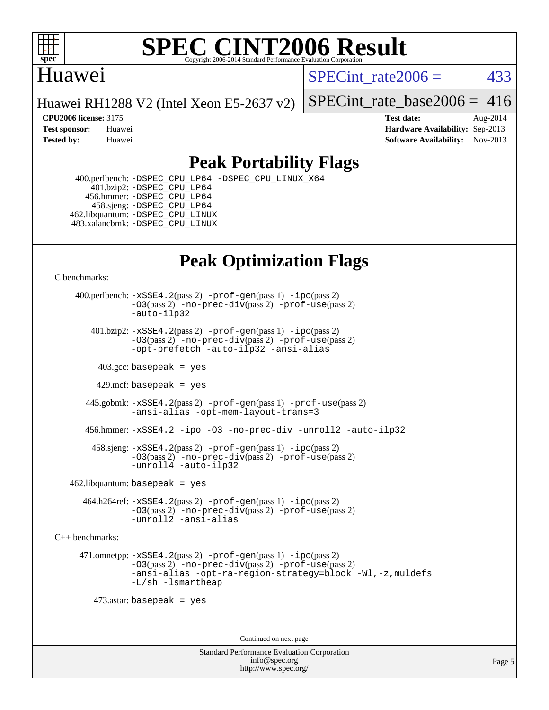

## **[SPEC CINT2006 Result](http://www.spec.org/auto/cpu2006/Docs/result-fields.html#SPECCINT2006Result)** Copyright 2006-2014 Standard Performance Evaluation C

# Huawei

SPECint rate $2006 = 433$ 

Huawei RH1288 V2 (Intel Xeon E5-2637 v2)

[SPECint\\_rate\\_base2006 =](http://www.spec.org/auto/cpu2006/Docs/result-fields.html#SPECintratebase2006)  $416$ 

**[CPU2006 license:](http://www.spec.org/auto/cpu2006/Docs/result-fields.html#CPU2006license)** 3175 **[Test date:](http://www.spec.org/auto/cpu2006/Docs/result-fields.html#Testdate)** Aug-2014 **[Test sponsor:](http://www.spec.org/auto/cpu2006/Docs/result-fields.html#Testsponsor)** Huawei **[Hardware Availability:](http://www.spec.org/auto/cpu2006/Docs/result-fields.html#HardwareAvailability)** Sep-2013 **[Tested by:](http://www.spec.org/auto/cpu2006/Docs/result-fields.html#Testedby)** Huawei **[Software Availability:](http://www.spec.org/auto/cpu2006/Docs/result-fields.html#SoftwareAvailability)** Nov-2013

# **[Peak Portability Flags](http://www.spec.org/auto/cpu2006/Docs/result-fields.html#PeakPortabilityFlags)**

 400.perlbench: [-DSPEC\\_CPU\\_LP64](http://www.spec.org/cpu2006/results/res2014q3/cpu2006-20140826-31067.flags.html#b400.perlbench_peakCPORTABILITY_DSPEC_CPU_LP64) [-DSPEC\\_CPU\\_LINUX\\_X64](http://www.spec.org/cpu2006/results/res2014q3/cpu2006-20140826-31067.flags.html#b400.perlbench_peakCPORTABILITY_DSPEC_CPU_LINUX_X64) 401.bzip2: [-DSPEC\\_CPU\\_LP64](http://www.spec.org/cpu2006/results/res2014q3/cpu2006-20140826-31067.flags.html#suite_peakCPORTABILITY401_bzip2_DSPEC_CPU_LP64) 456.hmmer: [-DSPEC\\_CPU\\_LP64](http://www.spec.org/cpu2006/results/res2014q3/cpu2006-20140826-31067.flags.html#suite_peakCPORTABILITY456_hmmer_DSPEC_CPU_LP64) 458.sjeng: [-DSPEC\\_CPU\\_LP64](http://www.spec.org/cpu2006/results/res2014q3/cpu2006-20140826-31067.flags.html#suite_peakCPORTABILITY458_sjeng_DSPEC_CPU_LP64) 462.libquantum: [-DSPEC\\_CPU\\_LINUX](http://www.spec.org/cpu2006/results/res2014q3/cpu2006-20140826-31067.flags.html#b462.libquantum_peakCPORTABILITY_DSPEC_CPU_LINUX) 483.xalancbmk: [-DSPEC\\_CPU\\_LINUX](http://www.spec.org/cpu2006/results/res2014q3/cpu2006-20140826-31067.flags.html#b483.xalancbmk_peakCXXPORTABILITY_DSPEC_CPU_LINUX)

# **[Peak Optimization Flags](http://www.spec.org/auto/cpu2006/Docs/result-fields.html#PeakOptimizationFlags)**

[C benchmarks](http://www.spec.org/auto/cpu2006/Docs/result-fields.html#Cbenchmarks):

 400.perlbench: [-xSSE4.2](http://www.spec.org/cpu2006/results/res2014q3/cpu2006-20140826-31067.flags.html#user_peakPASS2_CFLAGSPASS2_LDCFLAGS400_perlbench_f-xSSE42_f91528193cf0b216347adb8b939d4107)(pass 2) [-prof-gen](http://www.spec.org/cpu2006/results/res2014q3/cpu2006-20140826-31067.flags.html#user_peakPASS1_CFLAGSPASS1_LDCFLAGS400_perlbench_prof_gen_e43856698f6ca7b7e442dfd80e94a8fc)(pass 1) [-ipo](http://www.spec.org/cpu2006/results/res2014q3/cpu2006-20140826-31067.flags.html#user_peakPASS2_CFLAGSPASS2_LDCFLAGS400_perlbench_f-ipo)(pass 2) [-O3](http://www.spec.org/cpu2006/results/res2014q3/cpu2006-20140826-31067.flags.html#user_peakPASS2_CFLAGSPASS2_LDCFLAGS400_perlbench_f-O3)(pass 2) [-no-prec-div](http://www.spec.org/cpu2006/results/res2014q3/cpu2006-20140826-31067.flags.html#user_peakPASS2_CFLAGSPASS2_LDCFLAGS400_perlbench_f-no-prec-div)(pass 2) [-prof-use](http://www.spec.org/cpu2006/results/res2014q3/cpu2006-20140826-31067.flags.html#user_peakPASS2_CFLAGSPASS2_LDCFLAGS400_perlbench_prof_use_bccf7792157ff70d64e32fe3e1250b55)(pass 2) [-auto-ilp32](http://www.spec.org/cpu2006/results/res2014q3/cpu2006-20140826-31067.flags.html#user_peakCOPTIMIZE400_perlbench_f-auto-ilp32)  $401.bzip2: -xSSE4.2(pass 2) -prof-qen(pass 1) -ipo(pass 2)$  $401.bzip2: -xSSE4.2(pass 2) -prof-qen(pass 1) -ipo(pass 2)$  $401.bzip2: -xSSE4.2(pass 2) -prof-qen(pass 1) -ipo(pass 2)$  $401.bzip2: -xSSE4.2(pass 2) -prof-qen(pass 1) -ipo(pass 2)$  $401.bzip2: -xSSE4.2(pass 2) -prof-qen(pass 1) -ipo(pass 2)$ [-O3](http://www.spec.org/cpu2006/results/res2014q3/cpu2006-20140826-31067.flags.html#user_peakPASS2_CFLAGSPASS2_LDCFLAGS401_bzip2_f-O3)(pass 2) [-no-prec-div](http://www.spec.org/cpu2006/results/res2014q3/cpu2006-20140826-31067.flags.html#user_peakPASS2_CFLAGSPASS2_LDCFLAGS401_bzip2_f-no-prec-div)(pass 2) [-prof-use](http://www.spec.org/cpu2006/results/res2014q3/cpu2006-20140826-31067.flags.html#user_peakPASS2_CFLAGSPASS2_LDCFLAGS401_bzip2_prof_use_bccf7792157ff70d64e32fe3e1250b55)(pass 2) [-opt-prefetch](http://www.spec.org/cpu2006/results/res2014q3/cpu2006-20140826-31067.flags.html#user_peakCOPTIMIZE401_bzip2_f-opt-prefetch) [-auto-ilp32](http://www.spec.org/cpu2006/results/res2014q3/cpu2006-20140826-31067.flags.html#user_peakCOPTIMIZE401_bzip2_f-auto-ilp32) [-ansi-alias](http://www.spec.org/cpu2006/results/res2014q3/cpu2006-20140826-31067.flags.html#user_peakCOPTIMIZE401_bzip2_f-ansi-alias)  $403.\text{sec: basepeak}$  = yes 429.mcf: basepeak = yes 445.gobmk: [-xSSE4.2](http://www.spec.org/cpu2006/results/res2014q3/cpu2006-20140826-31067.flags.html#user_peakPASS2_CFLAGSPASS2_LDCFLAGS445_gobmk_f-xSSE42_f91528193cf0b216347adb8b939d4107)(pass 2) [-prof-gen](http://www.spec.org/cpu2006/results/res2014q3/cpu2006-20140826-31067.flags.html#user_peakPASS1_CFLAGSPASS1_LDCFLAGS445_gobmk_prof_gen_e43856698f6ca7b7e442dfd80e94a8fc)(pass 1) [-prof-use](http://www.spec.org/cpu2006/results/res2014q3/cpu2006-20140826-31067.flags.html#user_peakPASS2_CFLAGSPASS2_LDCFLAGS445_gobmk_prof_use_bccf7792157ff70d64e32fe3e1250b55)(pass 2) [-ansi-alias](http://www.spec.org/cpu2006/results/res2014q3/cpu2006-20140826-31067.flags.html#user_peakCOPTIMIZE445_gobmk_f-ansi-alias) [-opt-mem-layout-trans=3](http://www.spec.org/cpu2006/results/res2014q3/cpu2006-20140826-31067.flags.html#user_peakCOPTIMIZE445_gobmk_f-opt-mem-layout-trans_a7b82ad4bd7abf52556d4961a2ae94d5) 456.hmmer: [-xSSE4.2](http://www.spec.org/cpu2006/results/res2014q3/cpu2006-20140826-31067.flags.html#user_peakCOPTIMIZE456_hmmer_f-xSSE42_f91528193cf0b216347adb8b939d4107) [-ipo](http://www.spec.org/cpu2006/results/res2014q3/cpu2006-20140826-31067.flags.html#user_peakCOPTIMIZE456_hmmer_f-ipo) [-O3](http://www.spec.org/cpu2006/results/res2014q3/cpu2006-20140826-31067.flags.html#user_peakCOPTIMIZE456_hmmer_f-O3) [-no-prec-div](http://www.spec.org/cpu2006/results/res2014q3/cpu2006-20140826-31067.flags.html#user_peakCOPTIMIZE456_hmmer_f-no-prec-div) [-unroll2](http://www.spec.org/cpu2006/results/res2014q3/cpu2006-20140826-31067.flags.html#user_peakCOPTIMIZE456_hmmer_f-unroll_784dae83bebfb236979b41d2422d7ec2) [-auto-ilp32](http://www.spec.org/cpu2006/results/res2014q3/cpu2006-20140826-31067.flags.html#user_peakCOPTIMIZE456_hmmer_f-auto-ilp32) 458.sjeng: [-xSSE4.2](http://www.spec.org/cpu2006/results/res2014q3/cpu2006-20140826-31067.flags.html#user_peakPASS2_CFLAGSPASS2_LDCFLAGS458_sjeng_f-xSSE42_f91528193cf0b216347adb8b939d4107)(pass 2) [-prof-gen](http://www.spec.org/cpu2006/results/res2014q3/cpu2006-20140826-31067.flags.html#user_peakPASS1_CFLAGSPASS1_LDCFLAGS458_sjeng_prof_gen_e43856698f6ca7b7e442dfd80e94a8fc)(pass 1) [-ipo](http://www.spec.org/cpu2006/results/res2014q3/cpu2006-20140826-31067.flags.html#user_peakPASS2_CFLAGSPASS2_LDCFLAGS458_sjeng_f-ipo)(pass 2) [-O3](http://www.spec.org/cpu2006/results/res2014q3/cpu2006-20140826-31067.flags.html#user_peakPASS2_CFLAGSPASS2_LDCFLAGS458_sjeng_f-O3)(pass 2) [-no-prec-div](http://www.spec.org/cpu2006/results/res2014q3/cpu2006-20140826-31067.flags.html#user_peakPASS2_CFLAGSPASS2_LDCFLAGS458_sjeng_f-no-prec-div)(pass 2) [-prof-use](http://www.spec.org/cpu2006/results/res2014q3/cpu2006-20140826-31067.flags.html#user_peakPASS2_CFLAGSPASS2_LDCFLAGS458_sjeng_prof_use_bccf7792157ff70d64e32fe3e1250b55)(pass 2) [-unroll4](http://www.spec.org/cpu2006/results/res2014q3/cpu2006-20140826-31067.flags.html#user_peakCOPTIMIZE458_sjeng_f-unroll_4e5e4ed65b7fd20bdcd365bec371b81f) [-auto-ilp32](http://www.spec.org/cpu2006/results/res2014q3/cpu2006-20140826-31067.flags.html#user_peakCOPTIMIZE458_sjeng_f-auto-ilp32)  $462$ .libquantum: basepeak = yes 464.h264ref: [-xSSE4.2](http://www.spec.org/cpu2006/results/res2014q3/cpu2006-20140826-31067.flags.html#user_peakPASS2_CFLAGSPASS2_LDCFLAGS464_h264ref_f-xSSE42_f91528193cf0b216347adb8b939d4107)(pass 2) [-prof-gen](http://www.spec.org/cpu2006/results/res2014q3/cpu2006-20140826-31067.flags.html#user_peakPASS1_CFLAGSPASS1_LDCFLAGS464_h264ref_prof_gen_e43856698f6ca7b7e442dfd80e94a8fc)(pass 1) [-ipo](http://www.spec.org/cpu2006/results/res2014q3/cpu2006-20140826-31067.flags.html#user_peakPASS2_CFLAGSPASS2_LDCFLAGS464_h264ref_f-ipo)(pass 2) [-O3](http://www.spec.org/cpu2006/results/res2014q3/cpu2006-20140826-31067.flags.html#user_peakPASS2_CFLAGSPASS2_LDCFLAGS464_h264ref_f-O3)(pass 2) [-no-prec-div](http://www.spec.org/cpu2006/results/res2014q3/cpu2006-20140826-31067.flags.html#user_peakPASS2_CFLAGSPASS2_LDCFLAGS464_h264ref_f-no-prec-div)(pass 2) [-prof-use](http://www.spec.org/cpu2006/results/res2014q3/cpu2006-20140826-31067.flags.html#user_peakPASS2_CFLAGSPASS2_LDCFLAGS464_h264ref_prof_use_bccf7792157ff70d64e32fe3e1250b55)(pass 2)

[-unroll2](http://www.spec.org/cpu2006/results/res2014q3/cpu2006-20140826-31067.flags.html#user_peakCOPTIMIZE464_h264ref_f-unroll_784dae83bebfb236979b41d2422d7ec2) [-ansi-alias](http://www.spec.org/cpu2006/results/res2014q3/cpu2006-20140826-31067.flags.html#user_peakCOPTIMIZE464_h264ref_f-ansi-alias) [C++ benchmarks:](http://www.spec.org/auto/cpu2006/Docs/result-fields.html#CXXbenchmarks)

> 471.omnetpp: [-xSSE4.2](http://www.spec.org/cpu2006/results/res2014q3/cpu2006-20140826-31067.flags.html#user_peakPASS2_CXXFLAGSPASS2_LDCXXFLAGS471_omnetpp_f-xSSE42_f91528193cf0b216347adb8b939d4107)(pass 2) [-prof-gen](http://www.spec.org/cpu2006/results/res2014q3/cpu2006-20140826-31067.flags.html#user_peakPASS1_CXXFLAGSPASS1_LDCXXFLAGS471_omnetpp_prof_gen_e43856698f6ca7b7e442dfd80e94a8fc)(pass 1) [-ipo](http://www.spec.org/cpu2006/results/res2014q3/cpu2006-20140826-31067.flags.html#user_peakPASS2_CXXFLAGSPASS2_LDCXXFLAGS471_omnetpp_f-ipo)(pass 2) [-O3](http://www.spec.org/cpu2006/results/res2014q3/cpu2006-20140826-31067.flags.html#user_peakPASS2_CXXFLAGSPASS2_LDCXXFLAGS471_omnetpp_f-O3)(pass 2) [-no-prec-div](http://www.spec.org/cpu2006/results/res2014q3/cpu2006-20140826-31067.flags.html#user_peakPASS2_CXXFLAGSPASS2_LDCXXFLAGS471_omnetpp_f-no-prec-div)(pass 2) [-prof-use](http://www.spec.org/cpu2006/results/res2014q3/cpu2006-20140826-31067.flags.html#user_peakPASS2_CXXFLAGSPASS2_LDCXXFLAGS471_omnetpp_prof_use_bccf7792157ff70d64e32fe3e1250b55)(pass 2) [-ansi-alias](http://www.spec.org/cpu2006/results/res2014q3/cpu2006-20140826-31067.flags.html#user_peakCXXOPTIMIZE471_omnetpp_f-ansi-alias) [-opt-ra-region-strategy=block](http://www.spec.org/cpu2006/results/res2014q3/cpu2006-20140826-31067.flags.html#user_peakCXXOPTIMIZE471_omnetpp_f-opt-ra-region-strategy_a0a37c372d03933b2a18d4af463c1f69) [-Wl,-z,muldefs](http://www.spec.org/cpu2006/results/res2014q3/cpu2006-20140826-31067.flags.html#user_peakEXTRA_LDFLAGS471_omnetpp_link_force_multiple1_74079c344b956b9658436fd1b6dd3a8a) [-L/sh -lsmartheap](http://www.spec.org/cpu2006/results/res2014q3/cpu2006-20140826-31067.flags.html#user_peakEXTRA_LIBS471_omnetpp_SmartHeap_32f6c82aa1ed9c52345d30cf6e4a0499)

473.astar: basepeak = yes

Continued on next page